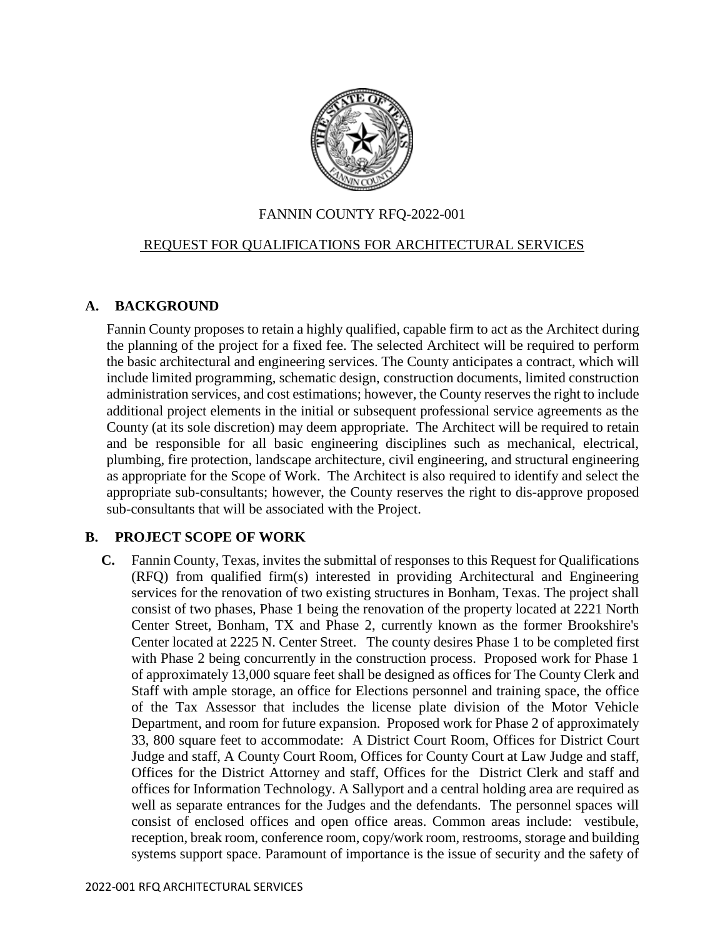

#### FANNIN COUNTY RFQ-2022-001

#### REQUEST FOR QUALIFICATIONS FOR ARCHITECTURAL SERVICES

#### **A. BACKGROUND**

Fannin County proposes to retain a highly qualified, capable firm to act as the Architect during the planning of the project for a fixed fee. The selected Architect will be required to perform the basic architectural and engineering services. The County anticipates a contract, which will include limited programming, schematic design, construction documents, limited construction administration services, and cost estimations; however, the County reserves the right to include additional project elements in the initial or subsequent professional service agreements as the County (at its sole discretion) may deem appropriate. The Architect will be required to retain and be responsible for all basic engineering disciplines such as mechanical, electrical, plumbing, fire protection, landscape architecture, civil engineering, and structural engineering as appropriate for the Scope of Work. The Architect is also required to identify and select the appropriate sub-consultants; however, the County reserves the right to dis-approve proposed sub-consultants that will be associated with the Project.

#### **B. PROJECT SCOPE OF WORK**

**C.** Fannin County, Texas, invites the submittal of responses to this Request for Qualifications (RFQ) from qualified firm(s) interested in providing Architectural and Engineering services for the renovation of two existing structures in Bonham, Texas. The project shall consist of two phases, Phase 1 being the renovation of the property located at 2221 North Center Street, Bonham, TX and Phase 2, currently known as the former Brookshire's Center located at 2225 N. Center Street. The county desires Phase 1 to be completed first with Phase 2 being concurrently in the construction process. Proposed work for Phase 1 of approximately 13,000 square feet shall be designed as offices for The County Clerk and Staff with ample storage, an office for Elections personnel and training space, the office of the Tax Assessor that includes the license plate division of the Motor Vehicle Department, and room for future expansion. Proposed work for Phase 2 of approximately 33, 800 square feet to accommodate: A District Court Room, Offices for District Court Judge and staff, A County Court Room, Offices for County Court at Law Judge and staff, Offices for the District Attorney and staff, Offices for the District Clerk and staff and offices for Information Technology. A Sallyport and a central holding area are required as well as separate entrances for the Judges and the defendants. The personnel spaces will consist of enclosed offices and open office areas. Common areas include: vestibule, reception, break room, conference room, copy/work room, restrooms, storage and building systems support space. Paramount of importance is the issue of security and the safety of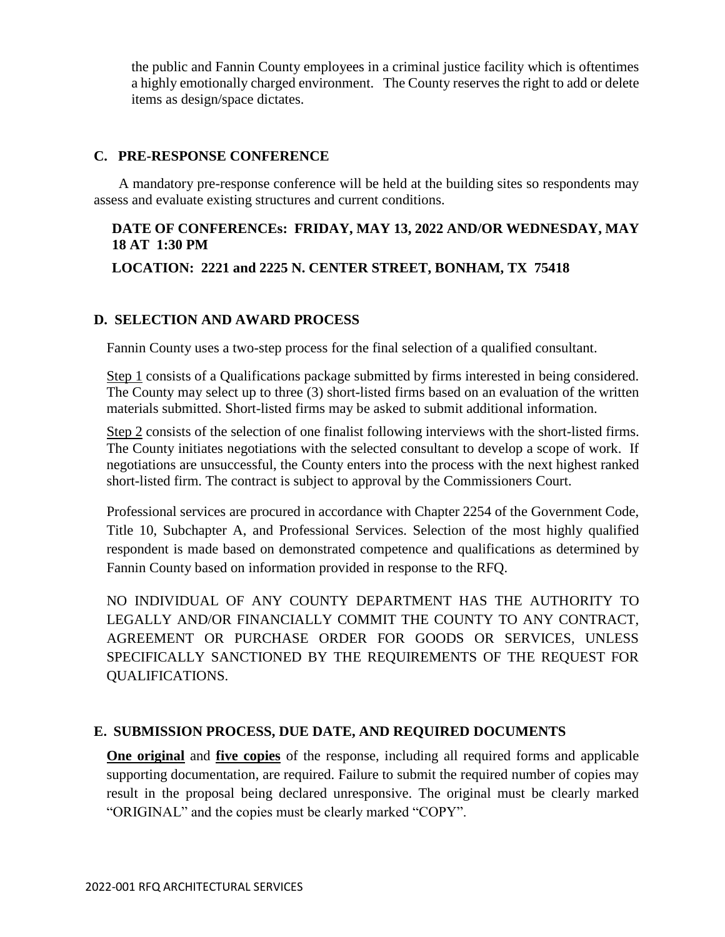the public and Fannin County employees in a criminal justice facility which is oftentimes a highly emotionally charged environment. The County reserves the right to add or delete items as design/space dictates.

#### **C. PRE-RESPONSE CONFERENCE**

A mandatory pre-response conference will be held at the building sites so respondents may assess and evaluate existing structures and current conditions.

# **DATE OF CONFERENCEs: FRIDAY, MAY 13, 2022 AND/OR WEDNESDAY, MAY 18 AT 1:30 PM**

## **LOCATION: 2221 and 2225 N. CENTER STREET, BONHAM, TX 75418**

#### **D. SELECTION AND AWARD PROCESS**

Fannin County uses a two-step process for the final selection of a qualified consultant.

Step 1 consists of a Qualifications package submitted by firms interested in being considered. The County may select up to three (3) short-listed firms based on an evaluation of the written materials submitted. Short-listed firms may be asked to submit additional information.

Step 2 consists of the selection of one finalist following interviews with the short-listed firms. The County initiates negotiations with the selected consultant to develop a scope of work. If negotiations are unsuccessful, the County enters into the process with the next highest ranked short-listed firm. The contract is subject to approval by the Commissioners Court.

Professional services are procured in accordance with Chapter 2254 of the Government Code, Title 10, Subchapter A, and Professional Services. Selection of the most highly qualified respondent is made based on demonstrated competence and qualifications as determined by Fannin County based on information provided in response to the RFQ.

NO INDIVIDUAL OF ANY COUNTY DEPARTMENT HAS THE AUTHORITY TO LEGALLY AND/OR FINANCIALLY COMMIT THE COUNTY TO ANY CONTRACT, AGREEMENT OR PURCHASE ORDER FOR GOODS OR SERVICES, UNLESS SPECIFICALLY SANCTIONED BY THE REQUIREMENTS OF THE REQUEST FOR QUALIFICATIONS.

## **E. SUBMISSION PROCESS, DUE DATE, AND REQUIRED DOCUMENTS**

**One original** and **five copies** of the response, including all required forms and applicable supporting documentation, are required. Failure to submit the required number of copies may result in the proposal being declared unresponsive. The original must be clearly marked "ORIGINAL" and the copies must be clearly marked "COPY".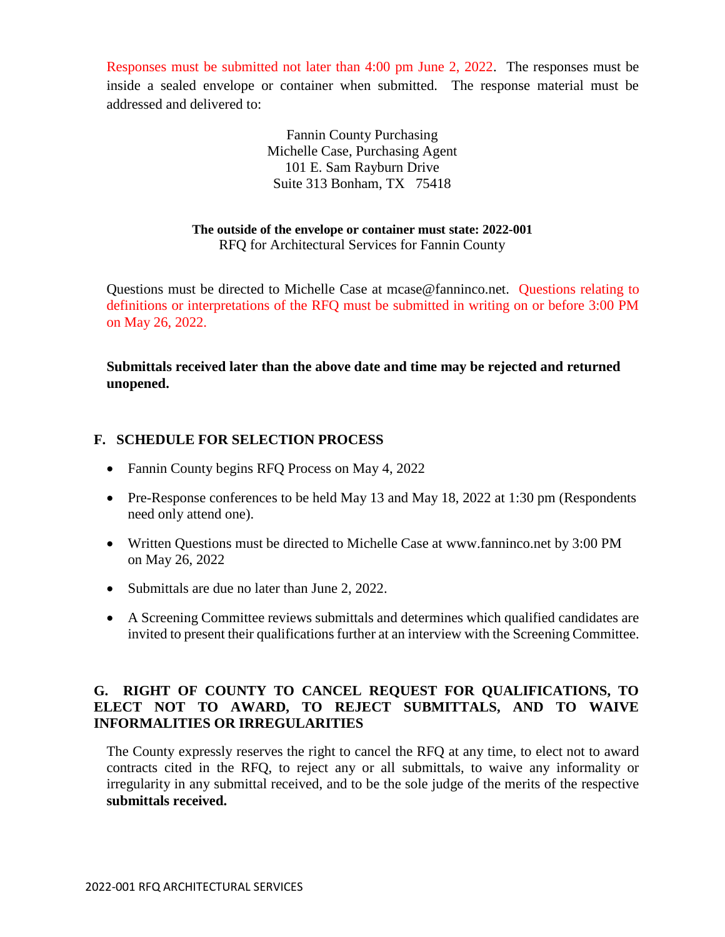Responses must be submitted not later than 4:00 pm June 2, 2022. The responses must be inside a sealed envelope or container when submitted. The response material must be addressed and delivered to:

> Fannin County Purchasing Michelle Case, Purchasing Agent 101 E. Sam Rayburn Drive Suite 313 Bonham, TX 75418

## **The outside of the envelope or container must state: 2022-001**

RFQ for Architectural Services for Fannin County

Questions must be directed to Michelle Case at mcase@fanninco.net. Questions relating to definitions or interpretations of the RFQ must be submitted in writing on or before 3:00 PM on May 26, 2022.

**Submittals received later than the above date and time may be rejected and returned unopened.**

## **F. SCHEDULE FOR SELECTION PROCESS**

- Fannin County begins RFQ Process on May 4, 2022
- Pre-Response conferences to be held May 13 and May 18, 2022 at 1:30 pm (Respondents need only attend one).
- Written Questions must be directed to Michelle Case at www.fanninco.net by 3:00 PM on May 26, 2022
- Submittals are due no later than June 2, 2022.
- A Screening Committee reviews submittals and determines which qualified candidates are invited to present their qualifications further at an interview with the Screening Committee.

## **G. RIGHT OF COUNTY TO CANCEL REQUEST FOR QUALIFICATIONS, TO ELECT NOT TO AWARD, TO REJECT SUBMITTALS, AND TO WAIVE INFORMALITIES OR IRREGULARITIES**

The County expressly reserves the right to cancel the RFQ at any time, to elect not to award contracts cited in the RFQ, to reject any or all submittals, to waive any informality or irregularity in any submittal received, and to be the sole judge of the merits of the respective **submittals received.**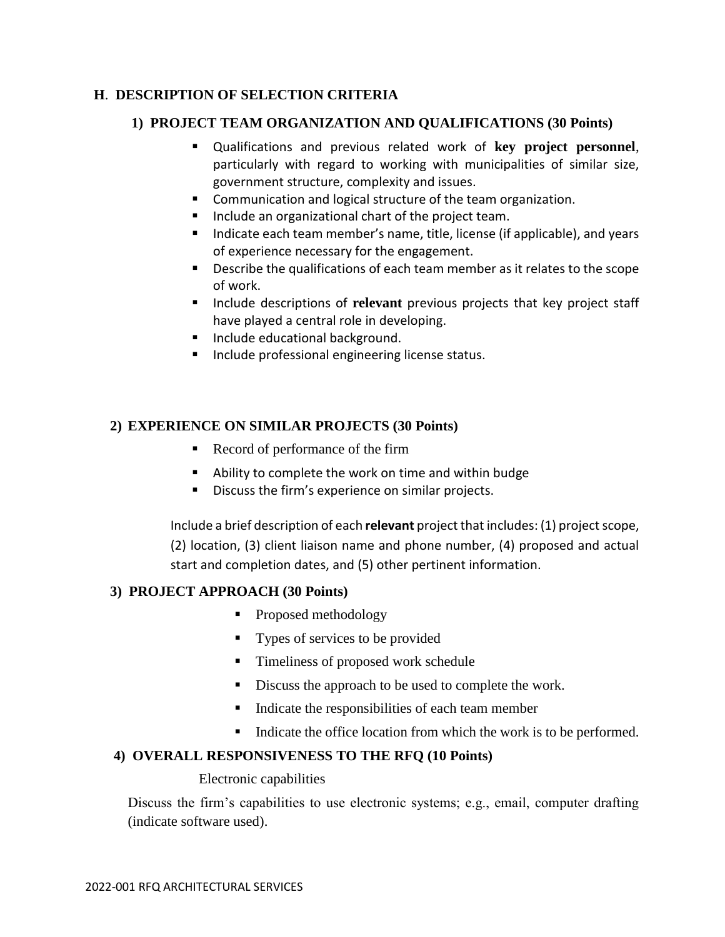# **H**. **DESCRIPTION OF SELECTION CRITERIA**

### **1) PROJECT TEAM ORGANIZATION AND QUALIFICATIONS (30 Points)**

- Qualifications and previous related work of **key project personnel**, particularly with regard to working with municipalities of similar size, government structure, complexity and issues.
- **Communication and logical structure of the team organization.**
- **Include an organizational chart of the project team.**
- Indicate each team member's name, title, license (if applicable), and years of experience necessary for the engagement.
- Describe the qualifications of each team member as it relates to the scope of work.
- **Include descriptions of relevant previous projects that key project staff** have played a central role in developing.
- **Include educational background.**
- **Include professional engineering license status.**

## **2) EXPERIENCE ON SIMILAR PROJECTS (30 Points)**

- Record of performance of the firm
- Ability to complete the work on time and within budge
- Discuss the firm's experience on similar projects.

Include a brief description of each **relevant** project that includes: (1) project scope, (2) location, (3) client liaison name and phone number, (4) proposed and actual start and completion dates, and (5) other pertinent information.

## **3) PROJECT APPROACH (30 Points)**

- Proposed methodology
- **Types of services to be provided**
- Timeliness of proposed work schedule
- Discuss the approach to be used to complete the work.
- Indicate the responsibilities of each team member
- Indicate the office location from which the work is to be performed.

## **4) OVERALL RESPONSIVENESS TO THE RFQ (10 Points)**

#### Electronic capabilities

Discuss the firm's capabilities to use electronic systems; e.g., email, computer drafting (indicate software used).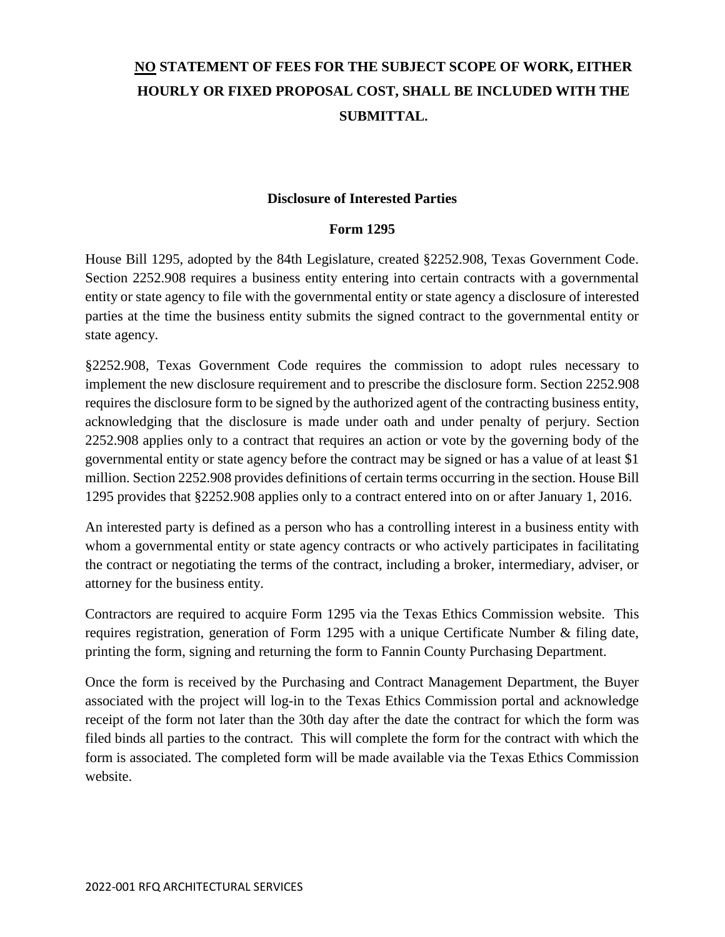# **NO STATEMENT OF FEES FOR THE SUBJECT SCOPE OF WORK, EITHER HOURLY OR FIXED PROPOSAL COST, SHALL BE INCLUDED WITH THE SUBMITTAL.**

#### **Disclosure of Interested Parties**

#### **Form 1295**

House Bill 1295, adopted by the 84th Legislature, created §2252.908, Texas Government Code. Section 2252.908 requires a business entity entering into certain contracts with a governmental entity or state agency to file with the governmental entity or state agency a disclosure of interested parties at the time the business entity submits the signed contract to the governmental entity or state agency.

§2252.908, Texas Government Code requires the commission to adopt rules necessary to implement the new disclosure requirement and to prescribe the disclosure form. Section 2252.908 requires the disclosure form to be signed by the authorized agent of the contracting business entity, acknowledging that the disclosure is made under oath and under penalty of perjury. Section 2252.908 applies only to a contract that requires an action or vote by the governing body of the governmental entity or state agency before the contract may be signed or has a value of at least \$1 million. Section 2252.908 provides definitions of certain terms occurring in the section. House Bill 1295 provides that §2252.908 applies only to a contract entered into on or after January 1, 2016.

An interested party is defined as a person who has a controlling interest in a business entity with whom a governmental entity or state agency contracts or who actively participates in facilitating the contract or negotiating the terms of the contract, including a broker, intermediary, adviser, or attorney for the business entity.

Contractors are required to acquire Form 1295 via the Texas Ethics Commission website. This requires registration, generation of Form 1295 with a unique Certificate Number & filing date, printing the form, signing and returning the form to Fannin County Purchasing Department.

Once the form is received by the Purchasing and Contract Management Department, the Buyer associated with the project will log-in to the Texas Ethics Commission portal and acknowledge receipt of the form not later than the 30th day after the date the contract for which the form was filed binds all parties to the contract. This will complete the form for the contract with which the form is associated. The completed form will be made available via the Texas Ethics Commission website.